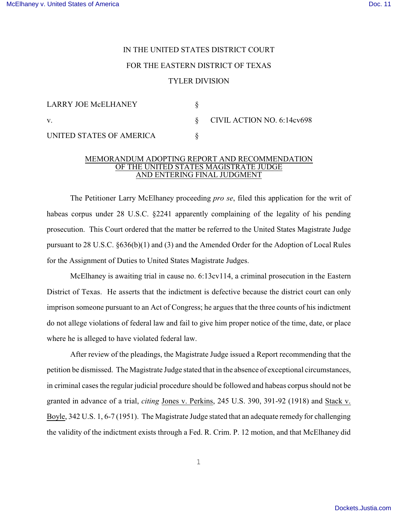## IN THE UNITED STATES DISTRICT COURT FOR THE EASTERN DISTRICT OF TEXAS TYLER DIVISION

| <b>LARRY JOE McELHANEY</b> |                                 |
|----------------------------|---------------------------------|
| V.                         | $\S$ CIVIL ACTION NO. 6:14cv698 |
| UNITED STATES OF AMERICA   |                                 |

## MEMORANDUM ADOPTING REPORT AND RECOMMENDATION OF THE UNITED STATES MAGISTRATE JUDGE AND ENTERING FINAL JUDGMENT

The Petitioner Larry McElhaney proceeding *pro se*, filed this application for the writ of habeas corpus under 28 U.S.C. §2241 apparently complaining of the legality of his pending prosecution. This Court ordered that the matter be referred to the United States Magistrate Judge pursuant to 28 U.S.C. §636(b)(1) and (3) and the Amended Order for the Adoption of Local Rules for the Assignment of Duties to United States Magistrate Judges.

McElhaney is awaiting trial in cause no. 6:13cv114, a criminal prosecution in the Eastern District of Texas. He asserts that the indictment is defective because the district court can only imprison someone pursuant to an Act of Congress; he argues that the three counts of his indictment do not allege violations of federal law and fail to give him proper notice of the time, date, or place where he is alleged to have violated federal law.

After review of the pleadings, the Magistrate Judge issued a Report recommending that the petition be dismissed. The Magistrate Judge stated that in the absence of exceptional circumstances, in criminal cases the regular judicial procedure should be followed and habeas corpus should not be granted in advance of a trial, *citing* Jones v. Perkins, 245 U.S. 390, 391-92 (1918) and Stack v. Boyle, 342 U.S. 1, 6-7 (1951). The Magistrate Judge stated that an adequate remedy for challenging the validity of the indictment exists through a Fed. R. Crim. P. 12 motion, and that McElhaney did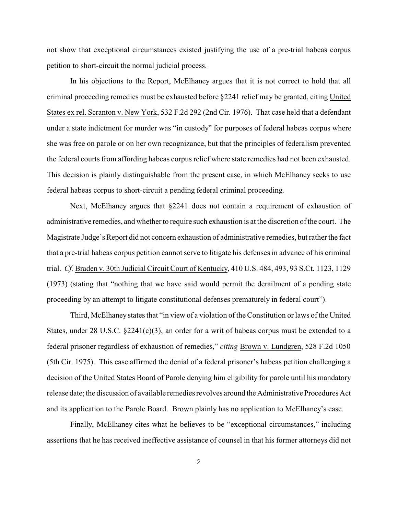not show that exceptional circumstances existed justifying the use of a pre-trial habeas corpus petition to short-circuit the normal judicial process.

In his objections to the Report, McElhaney argues that it is not correct to hold that all criminal proceeding remedies must be exhausted before §2241 relief may be granted, citing United States ex rel. Scranton v. New York, 532 F.2d 292 (2nd Cir. 1976). That case held that a defendant under a state indictment for murder was "in custody" for purposes of federal habeas corpus where she was free on parole or on her own recognizance, but that the principles of federalism prevented the federal courts from affording habeas corpus relief where state remedies had not been exhausted. This decision is plainly distinguishable from the present case, in which McElhaney seeks to use federal habeas corpus to short-circuit a pending federal criminal proceeding.

Next, McElhaney argues that §2241 does not contain a requirement of exhaustion of administrative remedies, and whether to require such exhaustion is at the discretion of the court. The Magistrate Judge's Report did not concern exhaustion of administrative remedies, but rather the fact that a pre-trial habeas corpus petition cannot serve to litigate his defenses in advance of his criminal trial. *Cf.* Braden v. 30th Judicial Circuit Court of Kentucky, 410 U.S. 484, 493, 93 S.Ct. 1123, 1129 (1973) (stating that "nothing that we have said would permit the derailment of a pending state proceeding by an attempt to litigate constitutional defenses prematurely in federal court").

Third, McElhaney states that "in view of a violation of the Constitution or laws of the United States, under 28 U.S.C.  $\S 2241(c)(3)$ , an order for a writ of habeas corpus must be extended to a federal prisoner regardless of exhaustion of remedies," *citing* Brown v. Lundgren, 528 F.2d 1050 (5th Cir. 1975). This case affirmed the denial of a federal prisoner's habeas petition challenging a decision of the United States Board of Parole denying him eligibility for parole until his mandatory release date; the discussion of available remedies revolves around the Administrative Procedures Act and its application to the Parole Board. Brown plainly has no application to McElhaney's case.

Finally, McElhaney cites what he believes to be "exceptional circumstances," including assertions that he has received ineffective assistance of counsel in that his former attorneys did not